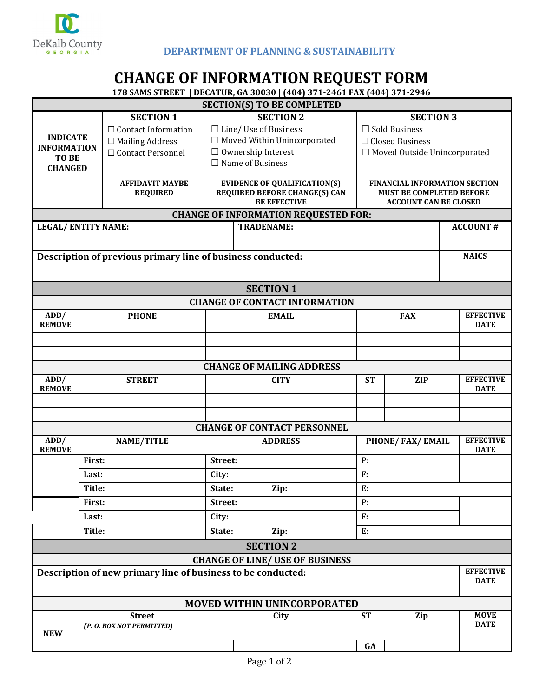

## **CHANGE OF INFORMATION REQUEST FORM**

**178 SAMS STREET | DECATUR, GA 30030 | (404) 371-2461 FAX (404) 371-2946**

|                                                                    |                                                              |                                                                             | 170 SAMS STREET   DECATUR, GA SUUSU   (404) S71-2401 FAA (404) S71-2940 |                                                                         |            |                                 |  |  |  |  |  |  |
|--------------------------------------------------------------------|--------------------------------------------------------------|-----------------------------------------------------------------------------|-------------------------------------------------------------------------|-------------------------------------------------------------------------|------------|---------------------------------|--|--|--|--|--|--|
|                                                                    |                                                              |                                                                             | <b>SECTION(S) TO BE COMPLETED</b>                                       |                                                                         |            |                                 |  |  |  |  |  |  |
|                                                                    | <b>SECTION 1</b>                                             |                                                                             | <b>SECTION 2</b>                                                        | <b>SECTION 3</b>                                                        |            |                                 |  |  |  |  |  |  |
|                                                                    | $\Box$ Contact Information                                   | $\Box$ Line/ Use of Business<br>$\Box$ Sold Business                        |                                                                         |                                                                         |            |                                 |  |  |  |  |  |  |
| <b>INDICATE</b><br><b>INFORMATION</b>                              | $\Box$ Mailing Address                                       |                                                                             | $\Box$ Moved Within Unincorporated                                      | $\Box$ Closed Business                                                  |            |                                 |  |  |  |  |  |  |
| TO BE                                                              | □ Contact Personnel                                          | $\Box$ Ownership Interest                                                   | □ Moved Outside Unincorporated                                          |                                                                         |            |                                 |  |  |  |  |  |  |
| <b>CHANGED</b>                                                     |                                                              | $\Box$ Name of Business                                                     |                                                                         |                                                                         |            |                                 |  |  |  |  |  |  |
|                                                                    |                                                              |                                                                             |                                                                         |                                                                         |            |                                 |  |  |  |  |  |  |
|                                                                    | <b>AFFIDAVIT MAYBE</b>                                       | <b>EVIDENCE OF QUALIFICATION(S)</b><br><b>REQUIRED BEFORE CHANGE(S) CAN</b> |                                                                         | <b>FINANCIAL INFORMATION SECTION</b><br><b>MUST BE COMPLETED BEFORE</b> |            |                                 |  |  |  |  |  |  |
|                                                                    | <b>REQUIRED</b>                                              |                                                                             | <b>ACCOUNT CAN BE CLOSED</b>                                            |                                                                         |            |                                 |  |  |  |  |  |  |
| <b>BE EFFECTIVE</b><br><b>CHANGE OF INFORMATION REQUESTED FOR:</b> |                                                              |                                                                             |                                                                         |                                                                         |            |                                 |  |  |  |  |  |  |
| <b>LEGAL/ENTITY NAME:</b><br><b>TRADENAME:</b><br><b>ACCOUNT#</b>  |                                                              |                                                                             |                                                                         |                                                                         |            |                                 |  |  |  |  |  |  |
|                                                                    |                                                              |                                                                             |                                                                         |                                                                         |            |                                 |  |  |  |  |  |  |
|                                                                    |                                                              |                                                                             |                                                                         |                                                                         |            |                                 |  |  |  |  |  |  |
|                                                                    | Description of previous primary line of business conducted:  |                                                                             |                                                                         |                                                                         |            | <b>NAICS</b>                    |  |  |  |  |  |  |
|                                                                    |                                                              |                                                                             |                                                                         |                                                                         |            |                                 |  |  |  |  |  |  |
|                                                                    |                                                              |                                                                             |                                                                         |                                                                         |            |                                 |  |  |  |  |  |  |
| <b>SECTION 1</b>                                                   |                                                              |                                                                             |                                                                         |                                                                         |            |                                 |  |  |  |  |  |  |
| <b>CHANGE OF CONTACT INFORMATION</b>                               |                                                              |                                                                             |                                                                         |                                                                         |            |                                 |  |  |  |  |  |  |
| ADD/                                                               | <b>PHONE</b>                                                 |                                                                             | <b>EMAIL</b>                                                            |                                                                         | <b>FAX</b> | <b>EFFECTIVE</b>                |  |  |  |  |  |  |
| <b>REMOVE</b>                                                      |                                                              |                                                                             |                                                                         |                                                                         |            | <b>DATE</b>                     |  |  |  |  |  |  |
|                                                                    |                                                              |                                                                             |                                                                         |                                                                         |            |                                 |  |  |  |  |  |  |
|                                                                    |                                                              |                                                                             |                                                                         |                                                                         |            |                                 |  |  |  |  |  |  |
|                                                                    |                                                              |                                                                             |                                                                         |                                                                         |            |                                 |  |  |  |  |  |  |
|                                                                    |                                                              |                                                                             | <b>CHANGE OF MAILING ADDRESS</b>                                        |                                                                         |            |                                 |  |  |  |  |  |  |
| ADD/                                                               | <b>STREET</b>                                                | <b>CITY</b>                                                                 |                                                                         | <b>ZIP</b><br><b>ST</b>                                                 |            | <b>EFFECTIVE</b>                |  |  |  |  |  |  |
| <b>REMOVE</b>                                                      |                                                              |                                                                             |                                                                         |                                                                         |            | <b>DATE</b>                     |  |  |  |  |  |  |
|                                                                    |                                                              |                                                                             |                                                                         |                                                                         |            |                                 |  |  |  |  |  |  |
|                                                                    |                                                              |                                                                             |                                                                         |                                                                         |            |                                 |  |  |  |  |  |  |
|                                                                    |                                                              |                                                                             | <b>CHANGE OF CONTACT PERSONNEL</b>                                      |                                                                         |            |                                 |  |  |  |  |  |  |
| ADD/                                                               | <b>NAME/TITLE</b>                                            | <b>ADDRESS</b>                                                              |                                                                         | PHONE/FAX/EMAIL                                                         |            | <b>EFFECTIVE</b>                |  |  |  |  |  |  |
| <b>REMOVE</b>                                                      |                                                              |                                                                             |                                                                         |                                                                         |            | <b>DATE</b>                     |  |  |  |  |  |  |
|                                                                    | First:                                                       | Street:                                                                     |                                                                         | P:                                                                      |            |                                 |  |  |  |  |  |  |
|                                                                    | Last:                                                        | City:                                                                       |                                                                         | F:                                                                      |            |                                 |  |  |  |  |  |  |
|                                                                    | Title:                                                       | State:<br>Zip:                                                              |                                                                         | E:                                                                      |            |                                 |  |  |  |  |  |  |
|                                                                    | First:                                                       | Street:                                                                     |                                                                         | P:                                                                      |            |                                 |  |  |  |  |  |  |
|                                                                    | Last:                                                        | City:                                                                       |                                                                         | F:                                                                      |            |                                 |  |  |  |  |  |  |
|                                                                    |                                                              |                                                                             |                                                                         | E:                                                                      |            |                                 |  |  |  |  |  |  |
|                                                                    | Title:                                                       | State:                                                                      | Zip:                                                                    |                                                                         |            |                                 |  |  |  |  |  |  |
|                                                                    |                                                              |                                                                             | <b>SECTION 2</b>                                                        |                                                                         |            |                                 |  |  |  |  |  |  |
|                                                                    |                                                              |                                                                             | <b>CHANGE OF LINE/ USE OF BUSINESS</b>                                  |                                                                         |            |                                 |  |  |  |  |  |  |
|                                                                    | Description of new primary line of business to be conducted: |                                                                             |                                                                         |                                                                         |            | <b>EFFECTIVE</b><br><b>DATE</b> |  |  |  |  |  |  |
|                                                                    |                                                              |                                                                             |                                                                         |                                                                         |            |                                 |  |  |  |  |  |  |
|                                                                    |                                                              |                                                                             |                                                                         |                                                                         |            |                                 |  |  |  |  |  |  |
| <b>MOVED WITHIN UNINCORPORATED</b>                                 |                                                              |                                                                             |                                                                         |                                                                         |            |                                 |  |  |  |  |  |  |
|                                                                    | <b>Street</b>                                                |                                                                             | City                                                                    | <b>ST</b>                                                               | Zip        | <b>MOVE</b>                     |  |  |  |  |  |  |
| <b>NEW</b>                                                         | (P. O. BOX NOT PERMITTED)                                    |                                                                             |                                                                         |                                                                         |            | <b>DATE</b>                     |  |  |  |  |  |  |
|                                                                    |                                                              |                                                                             |                                                                         |                                                                         |            |                                 |  |  |  |  |  |  |
|                                                                    |                                                              |                                                                             |                                                                         | GA                                                                      |            |                                 |  |  |  |  |  |  |